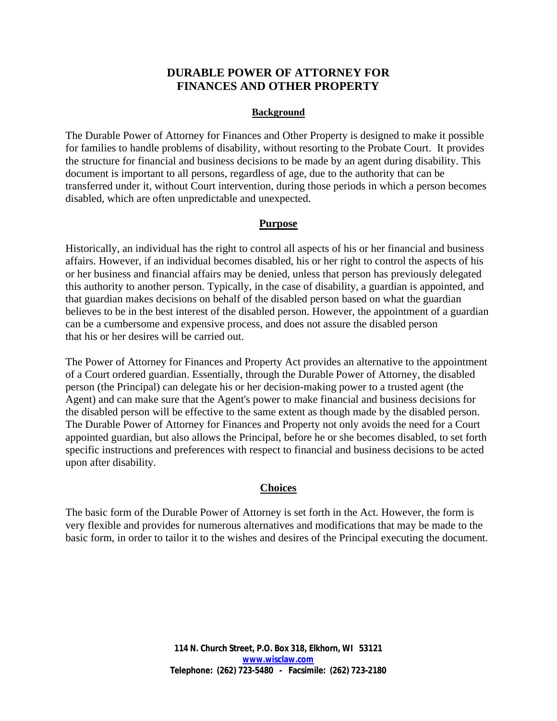# **DURABLE POWER OF ATTORNEY FOR FINANCES AND OTHER PROPERTY**

### **Background**

The Durable Power of Attorney for Finances and Other Property is designed to make it possible for families to handle problems of disability, without resorting to the Probate Court. It provides the structure for financial and business decisions to be made by an agent during disability. This document is important to all persons, regardless of age, due to the authority that can be transferred under it, without Court intervention, during those periods in which a person becomes disabled, which are often unpredictable and unexpected.

### **Purpose**

Historically, an individual has the right to control all aspects of his or her financial and business affairs. However, if an individual becomes disabled, his or her right to control the aspects of his or her business and financial affairs may be denied, unless that person has previously delegated this authority to another person. Typically, in the case of disability, a guardian is appointed, and that guardian makes decisions on behalf of the disabled person based on what the guardian believes to be in the best interest of the disabled person. However, the appointment of a guardian can be a cumbersome and expensive process, and does not assure the disabled person that his or her desires will be carried out.

The Power of Attorney for Finances and Property Act provides an alternative to the appointment of a Court ordered guardian. Essentially, through the Durable Power of Attorney, the disabled person (the Principal) can delegate his or her decision-making power to a trusted agent (the Agent) and can make sure that the Agent's power to make financial and business decisions for the disabled person will be effective to the same extent as though made by the disabled person. The Durable Power of Attorney for Finances and Property not only avoids the need for a Court appointed guardian, but also allows the Principal, before he or she becomes disabled, to set forth specific instructions and preferences with respect to financial and business decisions to be acted upon after disability.

#### **Choices**

The basic form of the Durable Power of Attorney is set forth in the Act. However, the form is very flexible and provides for numerous alternatives and modifications that may be made to the basic form, in order to tailor it to the wishes and desires of the Principal executing the document.

> **114 N. Church Street, P.O. Box 318, Elkhorn, WI 53121 [www.wisclaw.com](http://www.wisclaw.com/) Telephone: (262) 723-5480 - Facsimile: (262) 723-2180**